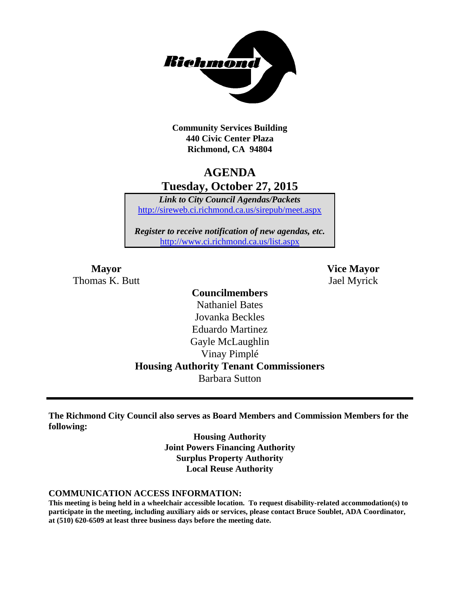

**Community Services Building 440 Civic Center Plaza Richmond, CA 94804**

# **AGENDA Tuesday, October 27, 2015**

*Link to City Council Agendas/Packets* <http://sireweb.ci.richmond.ca.us/sirepub/meet.aspx>

*Register to receive notification of new agendas, etc.* <http://www.ci.richmond.ca.us/list.aspx>

Thomas K. Butt Jael Myrick

**Mayor Vice Mayor**

### **Councilmembers**

Nathaniel Bates Jovanka Beckles Eduardo Martinez Gayle McLaughlin Vinay Pimplé **Housing Authority Tenant Commissioners** Barbara Sutton

**The Richmond City Council also serves as Board Members and Commission Members for the following:**

> **Housing Authority Joint Powers Financing Authority Surplus Property Authority Local Reuse Authority**

#### **COMMUNICATION ACCESS INFORMATION:**

**This meeting is being held in a wheelchair accessible location. To request disability-related accommodation(s) to participate in the meeting, including auxiliary aids or services, please contact Bruce Soublet, ADA Coordinator, at (510) 620-6509 at least three business days before the meeting date.**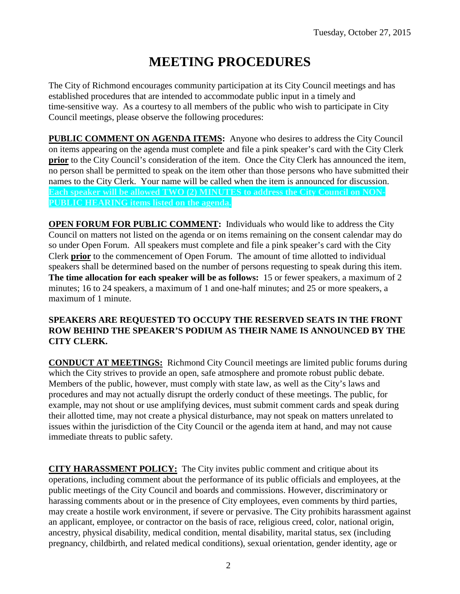# **MEETING PROCEDURES**

The City of Richmond encourages community participation at its City Council meetings and has established procedures that are intended to accommodate public input in a timely and time-sensitive way. As a courtesy to all members of the public who wish to participate in City Council meetings, please observe the following procedures:

**PUBLIC COMMENT ON AGENDA ITEMS:** Anyone who desires to address the City Council on items appearing on the agenda must complete and file a pink speaker's card with the City Clerk **prior** to the City Council's consideration of the item. Once the City Clerk has announced the item, no person shall be permitted to speak on the item other than those persons who have submitted their names to the City Clerk. Your name will be called when the item is announced for discussion. **Each speaker will be allowed TWO (2) MINUTES to address the City Council on NON-PUBLIC HEARING items listed on the agenda.**

**OPEN FORUM FOR PUBLIC COMMENT:** Individuals who would like to address the City Council on matters not listed on the agenda or on items remaining on the consent calendar may do so under Open Forum. All speakers must complete and file a pink speaker's card with the City Clerk **prior** to the commencement of Open Forum. The amount of time allotted to individual speakers shall be determined based on the number of persons requesting to speak during this item. **The time allocation for each speaker will be as follows:** 15 or fewer speakers, a maximum of 2 minutes; 16 to 24 speakers, a maximum of 1 and one-half minutes; and 25 or more speakers, a maximum of 1 minute.

### **SPEAKERS ARE REQUESTED TO OCCUPY THE RESERVED SEATS IN THE FRONT ROW BEHIND THE SPEAKER'S PODIUM AS THEIR NAME IS ANNOUNCED BY THE CITY CLERK.**

**CONDUCT AT MEETINGS:** Richmond City Council meetings are limited public forums during which the City strives to provide an open, safe atmosphere and promote robust public debate. Members of the public, however, must comply with state law, as well as the City's laws and procedures and may not actually disrupt the orderly conduct of these meetings. The public, for example, may not shout or use amplifying devices, must submit comment cards and speak during their allotted time, may not create a physical disturbance, may not speak on matters unrelated to issues within the jurisdiction of the City Council or the agenda item at hand, and may not cause immediate threats to public safety.

**CITY HARASSMENT POLICY:** The City invites public comment and critique about its operations, including comment about the performance of its public officials and employees, at the public meetings of the City Council and boards and commissions. However, discriminatory or harassing comments about or in the presence of City employees, even comments by third parties, may create a hostile work environment, if severe or pervasive. The City prohibits harassment against an applicant, employee, or contractor on the basis of race, religious creed, color, national origin, ancestry, physical disability, medical condition, mental disability, marital status, sex (including pregnancy, childbirth, and related medical conditions), sexual orientation, gender identity, age or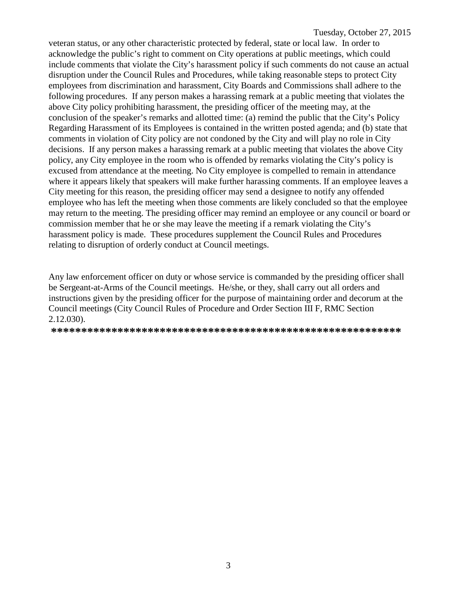veteran status, or any other characteristic protected by federal, state or local law. In order to acknowledge the public's right to comment on City operations at public meetings, which could include comments that violate the City's harassment policy if such comments do not cause an actual disruption under the Council Rules and Procedures, while taking reasonable steps to protect City employees from discrimination and harassment, City Boards and Commissions shall adhere to the following procedures. If any person makes a harassing remark at a public meeting that violates the above City policy prohibiting harassment, the presiding officer of the meeting may, at the conclusion of the speaker's remarks and allotted time: (a) remind the public that the City's Policy Regarding Harassment of its Employees is contained in the written posted agenda; and (b) state that comments in violation of City policy are not condoned by the City and will play no role in City decisions. If any person makes a harassing remark at a public meeting that violates the above City policy, any City employee in the room who is offended by remarks violating the City's policy is excused from attendance at the meeting. No City employee is compelled to remain in attendance where it appears likely that speakers will make further harassing comments. If an employee leaves a City meeting for this reason, the presiding officer may send a designee to notify any offended employee who has left the meeting when those comments are likely concluded so that the employee may return to the meeting. The presiding officer may remind an employee or any council or board or commission member that he or she may leave the meeting if a remark violating the City's harassment policy is made. These procedures supplement the Council Rules and Procedures relating to disruption of orderly conduct at Council meetings.

Any law enforcement officer on duty or whose service is commanded by the presiding officer shall be Sergeant-at-Arms of the Council meetings. He/she, or they, shall carry out all orders and instructions given by the presiding officer for the purpose of maintaining order and decorum at the Council meetings (City Council Rules of Procedure and Order Section III F, RMC Section 2.12.030).

**\*\*\*\*\*\*\*\*\*\*\*\*\*\*\*\*\*\*\*\*\*\*\*\*\*\*\*\*\*\*\*\*\*\*\*\*\*\*\*\*\*\*\*\*\*\*\*\*\*\*\*\*\*\*\*\*\*\***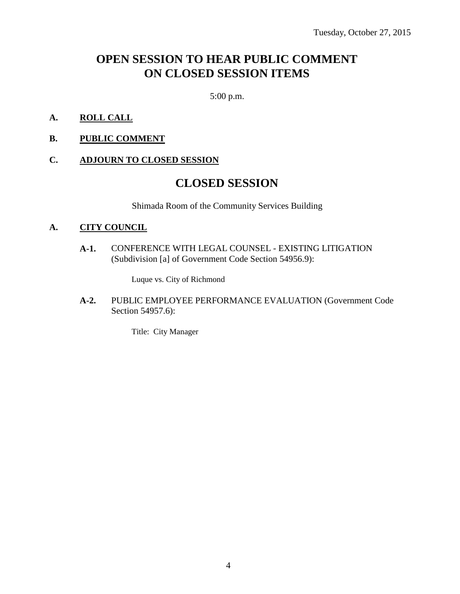# **OPEN SESSION TO HEAR PUBLIC COMMENT ON CLOSED SESSION ITEMS**

5:00 p.m.

- **A. ROLL CALL**
- **B. PUBLIC COMMENT**

### **C. ADJOURN TO CLOSED SESSION**

### **CLOSED SESSION**

Shimada Room of the Community Services Building

### **A. CITY COUNCIL**

**A-1.** CONFERENCE WITH LEGAL COUNSEL - EXISTING LITIGATION (Subdivision [a] of Government Code Section 54956.9):

Luque vs. City of Richmond

**A-2.** PUBLIC EMPLOYEE PERFORMANCE EVALUATION (Government Code Section 54957.6):

Title: City Manager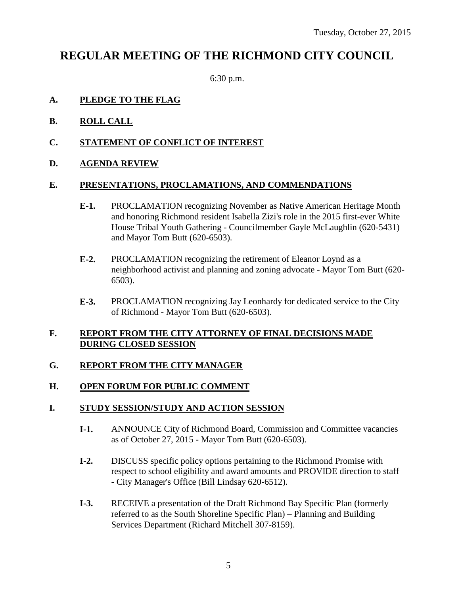## **REGULAR MEETING OF THE RICHMOND CITY COUNCIL**

6:30 p.m.

### **A. PLEDGE TO THE FLAG**

- **B. ROLL CALL**
- **C. STATEMENT OF CONFLICT OF INTEREST**
- **D. AGENDA REVIEW**

### **E. PRESENTATIONS, PROCLAMATIONS, AND COMMENDATIONS**

- **E-1.** PROCLAMATION recognizing November as Native American Heritage Month and honoring Richmond resident Isabella Zizi's role in the 2015 first-ever White House Tribal Youth Gathering - Councilmember Gayle McLaughlin (620-5431) and Mayor Tom Butt (620-6503).
- **E-2.** PROCLAMATION recognizing the retirement of Eleanor Loynd as a neighborhood activist and planning and zoning advocate - Mayor Tom Butt (620- 6503).
- **E-3.** PROCLAMATION recognizing Jay Leonhardy for dedicated service to the City of Richmond - Mayor Tom Butt (620-6503).

### **F. REPORT FROM THE CITY ATTORNEY OF FINAL DECISIONS MADE DURING CLOSED SESSION**

### **G. REPORT FROM THE CITY MANAGER**

### **H. OPEN FORUM FOR PUBLIC COMMENT**

### **I. STUDY SESSION/STUDY AND ACTION SESSION**

- **I-1.** ANNOUNCE City of Richmond Board, Commission and Committee vacancies as of October 27, 2015 - Mayor Tom Butt (620-6503).
- **I-2.** DISCUSS specific policy options pertaining to the Richmond Promise with respect to school eligibility and award amounts and PROVIDE direction to staff - City Manager's Office (Bill Lindsay 620-6512).
- **I-3.** RECEIVE a presentation of the Draft Richmond Bay Specific Plan (formerly referred to as the South Shoreline Specific Plan) – Planning and Building Services Department (Richard Mitchell 307-8159).